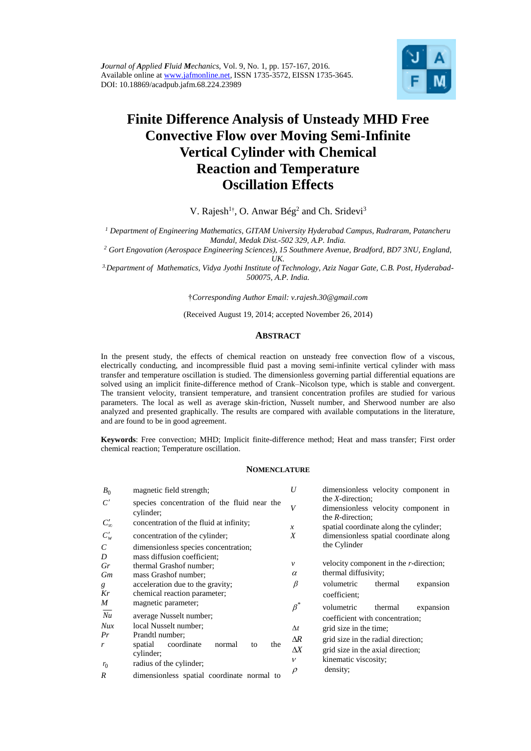

# **Finite Difference Analysis of Unsteady MHD Free Convective Flow over Moving Semi-Infinite Vertical Cylinder with Chemical Reaction and Temperature Oscillation Effects**

V. Rajesh<sup>1†</sup>, O. Anwar Bég<sup>2</sup> and Ch. Sridevi<sup>3</sup>

*<sup>1</sup> Department of Engineering Mathematics, GITAM University Hyderabad Campus, Rudraram, Patancheru Mandal, Medak Dist.-502 329, A.P. India.* 

*<sup>2</sup> Gort Engovation (Aerospace Engineering Sciences), 15 Southmere Avenue, Bradford, BD7 3NU, England, UK.* 

*3.Department of Mathematics, Vidya Jyothi Institute of Technology, Aziz Nagar Gate, C.B. Post, Hyderabad-500075, A.P. India.* 

†*Corresponding Author Email: [v.rajesh.30@gmail.com](mailto:v.rajesh.30@gmail.com)*

(Received August 19, 2014; accepted November 26, 2014)

## **ABSTRACT**

In the present study, the effects of chemical reaction on unsteady free convection flow of a viscous, electrically conducting, and incompressible fluid past a moving semi-infinite vertical cylinder with mass transfer and temperature oscillation is studied. The dimensionless governing partial differential equations are solved using an implicit finite-difference method of Crank–Nicolson type, which is stable and convergent. The transient velocity, transient temperature, and transient concentration profiles are studied for various parameters. The local as well as average skin-friction, Nusselt number, and Sherwood number are also analyzed and presented graphically. The results are compared with available computations in the literature, and are found to be in good agreement.

**Keywords**: Free convection; MHD; Implicit finite-difference method; Heat and mass transfer; First order chemical reaction; Temperature oscillation.

### **NOMENCLATURE**

| $B_0$            | magnetic field strength;                                 | U             | dimensionless velocity component in                                               |
|------------------|----------------------------------------------------------|---------------|-----------------------------------------------------------------------------------|
| C'               | species concentration of the fluid near the<br>cylinder; | V             | the $X$ -direction:<br>dimensionless velocity component in<br>the $R$ -direction; |
| $C'_{\infty}$    | concentration of the fluid at infinity;                  | $\mathcal{X}$ | spatial coordinate along the cylinder;                                            |
| $C_w'$           | concentration of the cylinder;                           | X             | dimensionless spatial coordinate along                                            |
| C                | dimensionless species concentration;                     |               | the Cylinder                                                                      |
| D                | mass diffusion coefficient:                              |               |                                                                                   |
| Gr               | thermal Grashof number;                                  | $\mathcal{V}$ | velocity component in the r-direction;                                            |
| Gm               | mass Grashof number;                                     | $\alpha$      | thermal diffusivity;                                                              |
| g                | acceleration due to the gravity;                         | β             | volumetric<br>thermal<br>expansion                                                |
| Kr               | chemical reaction parameter;                             |               | coefficient;                                                                      |
| M                | magnetic parameter;                                      | $\beta^*$     | volumetric<br>thermal<br>expansion                                                |
| Nu               | average Nusselt number;                                  |               | coefficient with concentration;                                                   |
| Nux              | local Nusselt number;                                    | $\Delta t$    | grid size in the time;                                                            |
| Pr               | Prandtl number;                                          | $\Delta R$    | grid size in the radial direction;                                                |
| r                | coordinate<br>the<br>spatial<br>normal<br>to             | $\Lambda X$   | grid size in the axial direction;                                                 |
|                  | cylinder;                                                |               |                                                                                   |
| $r_0$            | radius of the cylinder;                                  | $\mathcal V$  | kinematic viscosity;                                                              |
| $\boldsymbol{R}$ | dimensionless spatial coordinate normal to               | $\rho$        | density;                                                                          |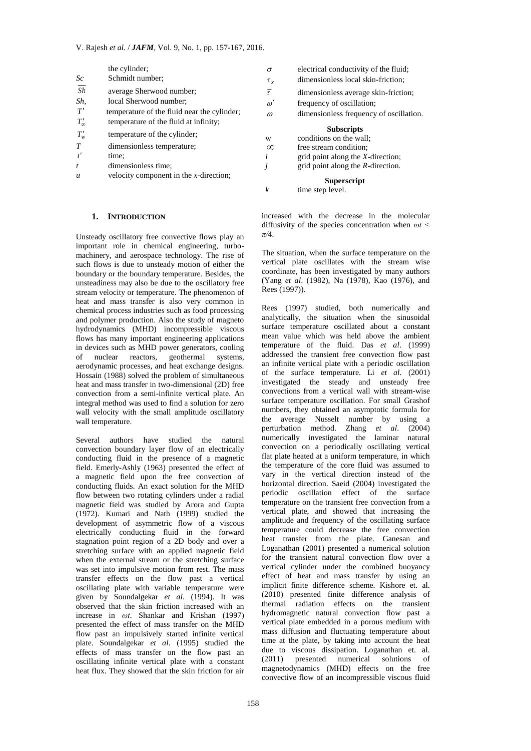|                  | the cylinder;                               | $\sigma$      | electrical conductivity of the fluid;   |
|------------------|---------------------------------------------|---------------|-----------------------------------------|
| Sc               | Schmidt number;                             | $\tau_{x}$    | dimensionless local skin-friction;      |
| $\overline{Sh}$  | average Sherwood number;                    | $\bar{\tau}$  | dimensionless average skin-friction;    |
| Sh,              | local Sherwood number;                      | $\omega'$     | frequency of oscillation;               |
| T'               | temperature of the fluid near the cylinder; | $\omega$      | dimensionless frequency of oscillation. |
| $T'_{\infty}$    | temperature of the fluid at infinity;       |               |                                         |
|                  | temperature of the cylinder;                |               | <b>Subscripts</b>                       |
| $T'_{w}$         |                                             | W             | conditions on the wall:                 |
| T                | dimensionless temperature;                  | $\infty$      | free stream condition:                  |
|                  | time:                                       | l             | grid point along the X-direction;       |
|                  | dimensionless time;                         | $\mathcal{I}$ | grid point along the $R$ -direction.    |
| $\boldsymbol{u}$ | velocity component in the $x$ -direction;   |               | <b>Superscript</b>                      |
|                  |                                             | k             | time step level.                        |

## **1. INTRODUCTION**

Unsteady oscillatory free convective flows play an important role in chemical engineering, turbomachinery, and aerospace technology. The rise of such flows is due to unsteady motion of either the boundary or the boundary temperature. Besides, the unsteadiness may also be due to the oscillatory free stream velocity or temperature. The phenomenon of heat and mass transfer is also very common in chemical process industries such as food processing and polymer production. Also the study of magneto hydrodynamics (MHD) incompressible viscous flows has many important engineering applications in devices such as MHD power generators, cooling of nuclear reactors, geothermal systems, aerodynamic processes, and heat exchange designs. Hossain (1988) solved the problem of simultaneous heat and mass transfer in two-dimensional (2D) free convection from a semi-infinite vertical plate. An integral method was used to find a solution for zero wall velocity with the small amplitude oscillatory wall temperature.

Several authors have studied the natural convection boundary layer flow of an electrically conducting fluid in the presence of a magnetic field. Emerly-Ashly (1963) presented the effect of a magnetic field upon the free convection of conducting fluids. An exact solution for the MHD flow between two rotating cylinders under a radial magnetic field was studied by Arora and Gupta (1972). Kumari and Nath (1999) studied the development of asymmetric flow of a viscous electrically conducting fluid in the forward stagnation point region of a 2D body and over a stretching surface with an applied magnetic field when the external stream or the stretching surface was set into impulsive motion from rest. The mass transfer effects on the flow past a vertical oscillating plate with variable temperature were given by Soundalgekar *et al*. (1994). It was observed that the skin friction increased with an increase in *ωt*. Shankar and Krishan (1997) presented the effect of mass transfer on the MHD flow past an impulsively started infinite vertical plate. Soundalgekar *et al*. (1995) studied the effects of mass transfer on the flow past an oscillating infinite vertical plate with a constant heat flux. They showed that the skin friction for air

on the wall: condition: long the *X*-direction; long the *R*-direction. **Superscript** *k* time step level.

increased with the decrease in the molecular diffusivity of the species concentration when *ωt < π/*4.

The situation, when the surface temperature on the vertical plate oscillates with the stream wise coordinate, has been investigated by many authors (Yang *et al*. (1982), Na (1978), Kao (1976), and Rees (1997)).

Rees (1997) studied, both numerically and analytically, the situation when the sinusoidal surface temperature oscillated about a constant mean value which was held above the ambient temperature of the fluid. Das *et al*. (1999) addressed the transient free convection flow past an infinite vertical plate with a periodic oscillation of the surface temperature. Li *et al*. (2001) investigated the steady and unsteady free convections from a vertical wall with stream-wise surface temperature oscillation. For small Grashof numbers, they obtained an asymptotic formula for the average Nusselt number by using a perturbation method. Zhang *et al*. (2004) numerically investigated the laminar natural convection on a periodically oscillating vertical flat plate heated at a uniform temperature, in which the temperature of the core fluid was assumed to vary in the vertical direction instead of the horizontal direction. Saeid (2004) investigated the periodic oscillation effect of the surface temperature on the transient free convection from a vertical plate, and showed that increasing the amplitude and frequency of the oscillating surface temperature could decrease the free convection heat transfer from the plate. Ganesan and Loganathan (2001) presented a numerical solution for the transient natural convection flow over a vertical cylinder under the combined buoyancy effect of heat and mass transfer by using an implicit finite difference scheme. Kishore et. al. (2010) presented finite difference analysis of thermal radiation effects on the transient hydromagnetic natural convection flow past a vertical plate embedded in a porous medium with mass diffusion and fluctuating temperature about time at the plate, by taking into account the heat due to viscous dissipation. Loganathan et. al.<br>(2011) presented numerical solutions of  $(2011)$  presented numerical solutions magnetodynamics (MHD) effects on the free convective flow of an incompressible viscous fluid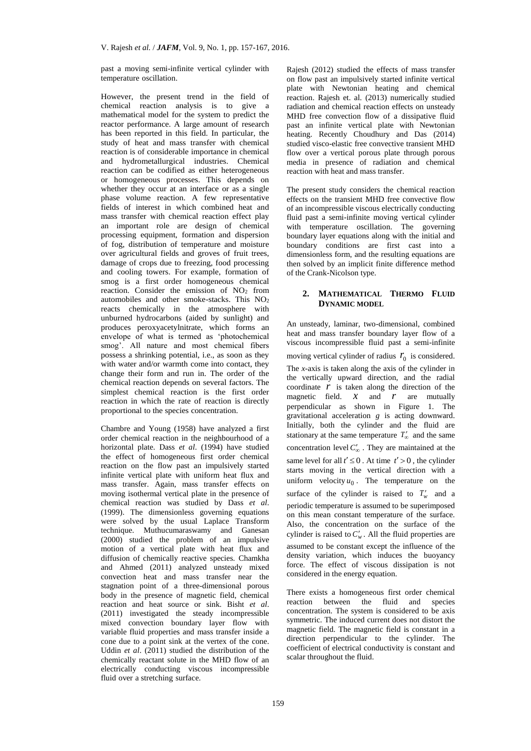past a moving semi-infinite vertical cylinder with temperature oscillation.

However, the present trend in the field of chemical reaction analysis is to give a mathematical model for the system to predict the reactor performance. A large amount of research has been reported in this field. In particular, the study of heat and mass transfer with chemical reaction is of considerable importance in chemical and hydrometallurgical industries. Chemical reaction can be codified as either heterogeneous or homogeneous processes. This depends on whether they occur at an interface or as a single phase volume reaction. A few representative fields of interest in which combined heat and mass transfer with chemical reaction effect play an important role are design of chemical processing equipment, formation and dispersion of fog, distribution of temperature and moisture over agricultural fields and groves of fruit trees, damage of crops due to freezing, food processing and cooling towers. For example, formation of smog is a first order homogeneous chemical reaction. Consider the emission of  $NO<sub>2</sub>$  from automobiles and other smoke-stacks. This NO<sup>2</sup> reacts chemically in the atmosphere with unburned hydrocarbons (aided by sunlight) and produces peroxyacetylnitrate, which forms an envelope of what is termed as 'photochemical smog'. All nature and most chemical fibers possess a shrinking potential, i.e., as soon as they with water and/or warmth come into contact, they change their form and run in. The order of the chemical reaction depends on several factors. The simplest chemical reaction is the first order reaction in which the rate of reaction is directly proportional to the species concentration.

Chambre and Young (1958) have analyzed a first order chemical reaction in the neighbourhood of a horizontal plate. Dass *et al*. (1994) have studied the effect of homogeneous first order chemical reaction on the flow past an impulsively started infinite vertical plate with uniform heat flux and mass transfer. Again, mass transfer effects on moving isothermal vertical plate in the presence of chemical reaction was studied by Dass *et al*. (1999). The dimensionless governing equations were solved by the usual Laplace Transform technique. Muthucumaraswamy and Ganesan (2000) studied the problem of an impulsive motion of a vertical plate with heat flux and diffusion of chemically reactive species. Chamkha and Ahmed (2011) analyzed unsteady mixed convection heat and mass transfer near the stagnation point of a three-dimensional porous body in the presence of magnetic field, chemical reaction and heat source or sink. Bisht *et al*. (2011) investigated the steady incompressible mixed convection boundary layer flow with variable fluid properties and mass transfer inside a cone due to a point sink at the vertex of the cone. Uddin *et al*. (2011) studied the distribution of the chemically reactant solute in the MHD flow of an electrically conducting viscous incompressible fluid over a stretching surface.

Rajesh (2012) studied the effects of mass transfer on flow past an impulsively started infinite vertical plate with Newtonian heating and chemical reaction. Rajesh et. al. (2013) numerically studied radiation and chemical reaction effects on unsteady MHD free convection flow of a dissipative fluid past an infinite vertical plate with Newtonian heating. Recently Choudhury and Das (2014) studied visco-elastic free convective transient MHD flow over a vertical porous plate through porous media in presence of radiation and chemical reaction with heat and mass transfer.

The present study considers the chemical reaction effects on the transient MHD free convective flow of an incompressible viscous electrically conducting fluid past a semi-infinite moving vertical cylinder with temperature oscillation. The governing boundary layer equations along with the initial and boundary conditions are first cast into a dimensionless form, and the resulting equations are then solved by an implicit finite difference method of the Crank-Nicolson type.

## **2. MATHEMATICAL THERMO FLUID DYNAMIC MODEL**

An unsteady, laminar, two-dimensional, combined heat and mass transfer boundary layer flow of a viscous incompressible fluid past a semi-infinite moving vertical cylinder of radius  $r_0$  is considered. The *x*-axis is taken along the axis of the cylinder in the vertically upward direction, and the radial coordinate  $\vec{r}$  is taken along the direction of the magnetic field.  $\mathcal{X}$  and  $\mathcal{Y}$  are mutually perpendicular as shown in Figure 1. The gravitational acceleration *g* is acting downward. Initially, both the cylinder and the fluid are stationary at the same temperature  $T'_{\infty}$  and the same concentration level  $C'_{\infty}$  . They are maintained at the same level for all  $t' \leq 0$ . At time  $t' > 0$ , the cylinder starts moving in the vertical direction with a uniform velocity  $u_0$ . The temperature on the surface of the cylinder is raised to  $T_w'$  and a periodic temperature is assumed to be superimposed on this mean constant temperature of the surface. Also, the concentration on the surface of the cylinder is raised to  $C'_w$ . All the fluid properties are assumed to be constant except the influence of the density variation, which induces the buoyancy force. The effect of viscous dissipation is not considered in the energy equation.

There exists a homogeneous first order chemical reaction between the fluid and species concentration. The system is considered to be axis symmetric. The induced current does not distort the magnetic field. The magnetic field is constant in a direction perpendicular to the cylinder. The coefficient of electrical conductivity is constant and scalar throughout the fluid.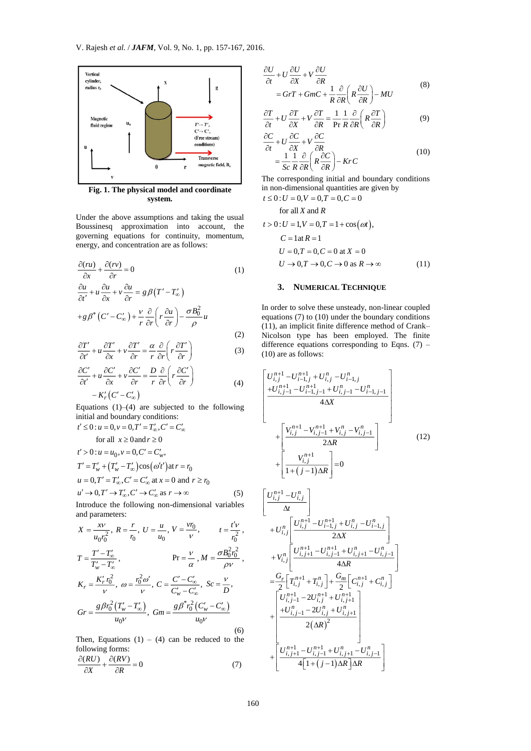

**Fig. 1. The physical model and coordinate system.**

Under the above assumptions and taking the usual Boussinesq approximation into account, the governing equations for continuity, momentum, energy, and concentration are as follows:

$$
\frac{\partial (ru)}{\partial x} + \frac{\partial (rv)}{\partial r} = 0 \tag{1}
$$
\n
$$
\frac{\partial u}{\partial t'} + u \frac{\partial u}{\partial x} + v \frac{\partial u}{\partial r} = g \beta (T' - T'_{\infty})
$$
\n
$$
+ g \beta^* (C' - C'_{\infty}) + \frac{\nu}{r} \frac{\partial}{\partial r} \left( r \frac{\partial u}{\partial r} \right) - \frac{\sigma B_0^2}{\rho} u \tag{2}
$$

$$
\frac{\partial T'}{\partial t'} + u \frac{\partial T'}{\partial x} + v \frac{\partial T'}{\partial r} = \frac{\alpha}{r} \frac{\partial}{\partial r} \left( r \frac{\partial T'}{\partial r} \right)
$$
(3)

$$
\frac{\partial C'}{\partial t'} + u \frac{\partial C'}{\partial x} + v \frac{\partial C'}{\partial r} = \frac{D}{r} \frac{\partial}{\partial r} \left( r \frac{\partial C'}{\partial r} \right)
$$
  
-  $K'_r \left( C' - C'_\infty \right)$  (4)

Equations  $(1)$ – $(4)$  are subjected to the following initial and boundary conditions:

$$
t' \le 0: u = 0, v = 0, T' = T'_{\infty}, C' = C'_{\infty}
$$
  
for all  $x \ge 0$  and  $r \ge 0$   
 $t' > 0: u = u_0, v = 0, C' = C'_{w},$   
 $T' = T'_{w} + (T'_{w} - T'_{\infty})\cos(\omega't') dt = r_0$   
 $u = 0, T' = T'_{\infty}, C' = C'_{\infty}$  at  $x = 0$  and  $r \ge r_0$ 

 $u' \to 0, T' \to T'_{\infty}, C' \to C'_{\infty}$  as  $r \to \infty$  (5) Introduce the following non-dimensional variables and parameters:

$$
X = \frac{xv}{u_0r_0^2}, R = \frac{r}{r_0}, U = \frac{u}{u_0}, V = \frac{vv_0}{v}, \qquad t = \frac{t'v}{r_0^2},
$$
  
\n
$$
T = \frac{T' - T'_\infty}{T'_w - T'_\infty}, \qquad \text{Pr} = \frac{v}{\alpha}, M = \frac{\sigma B_0^2 r_0^2}{\rho v},
$$
  
\n
$$
K_r = \frac{K'_r r_0^2}{v}, \omega = \frac{r_0^2 \omega'}{v}, C = \frac{C' - C'_\infty}{C'_w - C'_\infty}, Sc = \frac{v}{D},
$$
  
\n
$$
Gr = \frac{g \beta r_0^2 (T'_w - T'_\infty)}{u_0 v}, Gm = \frac{g \beta^* r_0^2 (C'_w - C'_\infty)}{u_0 v}
$$
  
\n(6)

Then, Equations  $(1) - (4)$  can be reduced to the following forms:

$$
\frac{\partial (RU)}{\partial X} + \frac{\partial (RV)}{\partial R} = 0 \tag{7}
$$

$$
\frac{\partial U}{\partial t} + U \frac{\partial U}{\partial X} + V \frac{\partial U}{\partial R} \n= GrT + GmC + \frac{1}{R} \frac{\partial}{\partial R} \left( R \frac{\partial U}{\partial R} \right) - MU
$$
\n(8)

$$
\frac{\partial T}{\partial t} + U \frac{\partial T}{\partial X} + V \frac{\partial T}{\partial R} = \frac{1}{\Pr} \frac{1}{R} \frac{\partial}{\partial R} \left( R \frac{\partial T}{\partial R} \right)
$$
(9)

$$
\frac{\partial C}{\partial t} + U \frac{\partial C}{\partial X} + V \frac{\partial C}{\partial R} \n= \frac{1}{Sc} \frac{1}{R} \frac{\partial}{\partial R} \left( R \frac{\partial C}{\partial R} \right) - K r C
$$
\n(10)

The corresponding initial and boundary conditions in non-dimensional quantities are given by  $t \leq 0$  :  $U = 0, V = 0, T = 0, C = 0$ 

for all  $X$  and  $R$ 

$$
t > 0: U = 1, V = 0, T = 1 + \cos(\omega t),
$$
  
\n
$$
C = 1 \text{ at } R = 1
$$
  
\n
$$
U = 0, T = 0, C = 0 \text{ at } X = 0
$$
  
\n
$$
U \rightarrow 0, T \rightarrow 0, C \rightarrow 0 \text{ as } R \rightarrow \infty
$$
 (11)

## **3. NUMERICAL TECHNIQUE**

In order to solve these unsteady, non-linear coupled equations (7) to (10) under the boundary conditions (11), an implicit finite difference method of Crank– Nicolson type has been employed. The finite difference equations corresponding to Eqns.  $(7)$  – (10) are as follows:

$$
\begin{bmatrix}\nU_{i,j}^{n+1} - U_{i-1,j}^{n+1} + U_{i,j}^{n} - U_{i-1,j}^{n} \\
+ U_{i,j-1}^{n+1} - U_{i-1,j-1}^{n+1} + U_{i,j-1}^{n} - U_{i-1,j-1}^{n} \\
+ \left[\frac{V_{i,j}^{n+1} - V_{i,j-1}^{n+1} + V_{i,j}^{n} - V_{i,j-1}^{n}}{2\Delta R}\right] \\
+ \left[\frac{V_{i,j}^{n+1}}{1 + (j-1)\Delta R}\right] = 0\n\end{bmatrix}
$$
\n(12)

$$
\begin{bmatrix}\nU_{i,j}^{n+1} - U_{i,j}^n \\
\Delta t\n\end{bmatrix}\n+ U_{i,j}^n\n\begin{bmatrix}\nU_{i,j}^{n+1} - U_{i-1,j}^{n+1} + U_{i,j}^n - U_{i-1,j}^n \\
2\Delta X\n\end{bmatrix}\n+ V_{i,j}^n\n\begin{bmatrix}\nU_{i,j+1}^{n+1} - U_{i,j-1}^{n+1} + U_{i,j+1}^n - U_{i,j-1}^n \\
4\Delta R\n\end{bmatrix}\n=\n\frac{G_r}{2} \left[T_{i,j}^{n+1} + T_{i,j}^n\right] + \frac{G_m}{2} \left[C_{i,j}^{n+1} + C_{i,j}^n\right]\n+ \begin{bmatrix}\nU_{i,j-1}^{n-1} - 2U_{i,j}^n + U_{i,j+1}^n \\
+ U_{i,j-1}^n - 2U_{i,j}^n + U_{i,j+1}^n \\
2(\Delta R)^2\n\end{bmatrix}\n+ \begin{bmatrix}\nU_{i,j+1}^{n-1} - U_{i,j-1}^n + U_{i,j+1}^n - U_{i,j-1}^n \\
4\left[1 + (j-1)\Delta R\right]\Delta R\n\end{bmatrix}
$$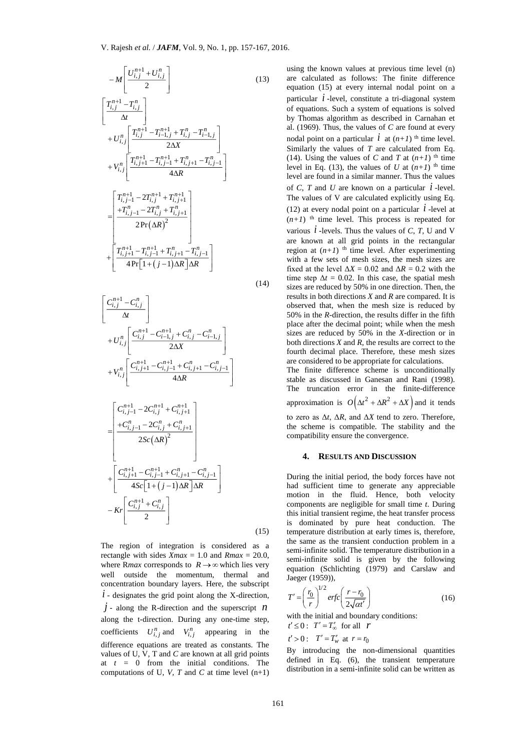$$
-M\left[\frac{U_{i,j}^{n+1} + U_{i,j}^{n}}{2}\right]
$$
\n(13)  
\n
$$
\left[\frac{T_{i,j}^{n+1} - T_{i,j}^{n}}{\Delta t}\right]
$$
\n+ $U_{i,j}^{n}\left[\frac{T_{i,j}^{n+1} - T_{i-1,j}^{n+1} + T_{i,j}^{n} - T_{i-1,j}^{n}}{2\Delta X}\right]$ \n+ $V_{i,j}^{n}\left[\frac{T_{i,j+1}^{n+1} - T_{i-1,j}^{n+1} + T_{i,j+1}^{n} - T_{i,j-1}^{n}}{4\Delta R}\right]$ \n
$$
+V_{i,j}^{n}\left[\frac{T_{i,j+1}^{n+1} - 2T_{i,j}^{n+1} + T_{i,j+1}^{n+1}}{4\Delta R}\right]
$$
\n
$$
= \left[\frac{T_{i,j-1}^{n+1} - 2T_{i,j}^{n+1} + T_{i,j+1}^{n}}{2\Pr(\Delta R)^{2}}\right]
$$
\n
$$
+ \left[\frac{T_{i,j+1}^{n+1} - T_{i,j-1}^{n+1} + T_{i,j+1}^{n}}{4\Pr[\left[1 + (j-1)\Delta R\right]\Delta R}\right]
$$
\n(14)  
\n
$$
\left[\frac{C_{i,j}^{n+1} - C_{i,j}^{n}}{\Delta t}\right]
$$
\n+ $U_{i,j}^{n}\left[\frac{C_{i,j}^{n+1} - C_{i-1,j}^{n+1} + C_{i,j}^{n} - C_{i-1,j}^{n}}{2\Delta X}\right]$ \n+ $V_{i,j}^{n}\left[\frac{C_{i,j-1}^{n+1} - C_{i,j+1}^{n+1} + C_{i,j+1}^{n} - C_{i,j-1}^{n}}{4\Delta R}\right]$ \n
$$
+ V_{i,j}^{n}\left[\frac{C_{i,j-1}^{n+1} - 2C_{i,j}^{n+1} + C_{i,j+1}^{n} - C_{i-1,j}^{n}}{4\Delta R}\right]
$$
\n
$$
- K\left[\frac{C_{i,j+1}^{n+1} - C_{i,j-1}^{n+1} + C_{i,j+1}^{n} - C_{i,j-1}^{n}}{4S\epsilon[\left[1 +
$$

$$
\begin{bmatrix}\nC_{i,j}^{n+1} - C_{i,j}^{n} \\
\Delta t\n\end{bmatrix}\n+ U_{i,j}^{n} \begin{bmatrix}\nC_{i,j}^{n+1} - C_{i-1,j}^{n+1} + C_{i,j}^{n} - C_{i-1,j}^{n} \\
2\Delta X\n\end{bmatrix}\n+ V_{i,j}^{n} \begin{bmatrix}\nC_{i,j+1}^{n+1} - C_{i,j-1}^{n+1} + C_{i,j+1}^{n} - C_{i,j-1}^{n} \\
4\Delta R\n\end{bmatrix}\n= \begin{bmatrix}\nC_{i,j-1}^{n+1} - 2C_{i,j}^{n+1} + C_{i,j+1}^{n+1} \\
+C_{i,j-1}^{n} - 2C_{i,j}^{n} + C_{i,j+1}^{n} \\
2Sc(\Delta R)^{2}\n\end{bmatrix}\n+ \begin{bmatrix}\nC_{i,j+1}^{n+1} - C_{i,j-1}^{n+1} + C_{i,j+1}^{n} - C_{i,j-1}^{n} \\
4Sc\left[1 + (j-1)\Delta R\right]\Delta R\n\end{bmatrix}\n-Kr \begin{bmatrix}\nC_{i,j}^{n+1} + C_{i,j}^{n}\n\end{bmatrix}
$$
\n(15)

The region of integration is considered as a rectangle with sides  $Xmax = 1.0$  and  $Rmax = 20.0$ , where R*max* corresponds to  $R \rightarrow \infty$  which lies very well outside the momentum, thermal and concentration boundary layers. Here, the subscript  $i$  - designates the grid point along the X-direction,  $j$  - along the R-direction and the superscript  $n$ along the t-direction. During any one-time step, coefficients  $U_{i,j}^n$  and  $V_{i,j}^n$  appearing in the difference equations are treated as constants. The values of U*,* V*,* T and *C* are known at all grid points at  $t = 0$  from the initial conditions. The computations of U, V, T and C at time level  $(n+1)$ 

using the known values at previous time level (n) are calculated as follows: The finite difference equation (15) at every internal nodal point on a particular  $i$ -level, constitute a tri-diagonal system of equations. Such a system of equations is solved by Thomas algorithm as described in Carnahan et al. (1969). Thus, the values of *C* are found at every nodal point on a particular  $\vec{l}$  at  $(n+1)$ <sup>th</sup> time level. Similarly the values of *T* are calculated from Eq. (14). Using the values of *C* and *T* at  $(n+1)$  <sup>th</sup> time level in Eq. (13), the values of *U* at  $(n+1)$ <sup>th</sup> time level are found in a similar manner. Thus the values of *C*, *T* and *U* are known on a particular  $\vec{l}$  -level. The values of V are calculated explicitly using Eq. (12) at every nodal point on a particular  $\vec{l}$  -level at  $(n+1)$  <sup>th</sup> time level. This process is repeated for various  $\dot{l}$  -levels. Thus the values of  $C$ ,  $T$ , U and V are known at all grid points in the rectangular region at  $(n+1)$  <sup>th</sup> time level. After experimenting with a few sets of mesh sizes, the mesh sizes are fixed at the level  $\Delta X = 0.02$  and  $\Delta R = 0.2$  with the time step  $\Delta t = 0.02$ . In this case, the spatial mesh sizes are reduced by 50% in one direction. Then, the results in both directions *X* and *R* are compared. It is observed that, when the mesh size is reduced by 50% in the *R*-direction, the results differ in the fifth place after the decimal point; while when the mesh sizes are reduced by 50% in the *X*-direction or in both directions *X* and *R*, the results are correct to the fourth decimal place. Therefore, these mesh sizes are considered to be appropriate for calculations. The finite difference scheme is unconditionally stable as discussed in Ganesan and Rani (1998).

The truncation error in the finite-difference approximation is  $O(\Delta t^2 + \Delta R^2 + \Delta X)$  and it tends to zero as Δ*t*, Δ*R*, and Δ*X* tend to zero. Therefore, the scheme is compatible. The stability and the compatibility ensure the convergence.

### **4. RESULTS AND DISCUSSION**

During the initial period, the body forces have not had sufficient time to generate any appreciable motion in the fluid. Hence, both velocity components are negligible for small time *t*. During this initial transient regime, the heat transfer process is dominated by pure heat conduction. The temperature distribution at early times is, therefore, the same as the transient conduction problem in a semi-infinite solid. The temperature distribution in a semi-infinite solid is given by the following equation (Schlichting (1979) and Carslaw and Jaeger (1959)),

$$
T' = \left(\frac{r_0}{r}\right)^{1/2} erfc\left(\frac{r - r_0}{2\sqrt{at'}}\right)
$$
 (16)

with the initial and boundary conditions:

$$
t' \le 0: \quad T' = T'_{\infty} \quad \text{for all} \quad r
$$
  

$$
t' > 0: \quad T' = T'_{w} \quad \text{at} \quad r = r_{0}
$$

By introducing the non-dimensional quantities defined in Eq. (6), the transient temperature distribution in a semi-infinite solid can be written as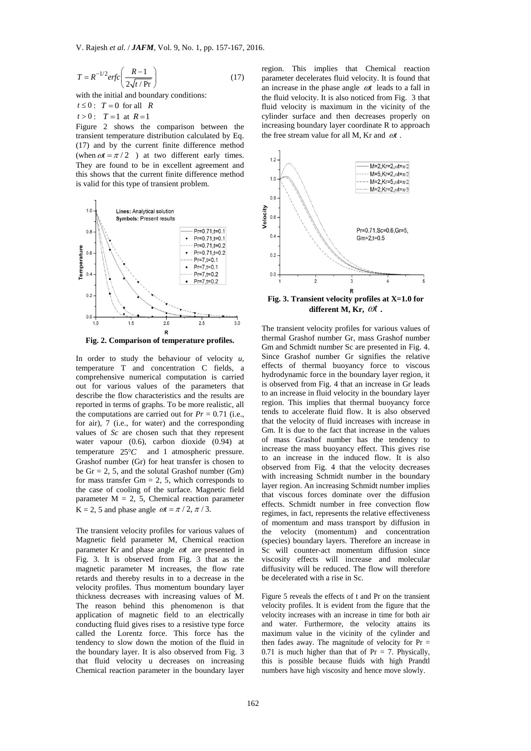$$
T = R^{-1/2} erfc\left(\frac{R-1}{2\sqrt{t/Pr}}\right)
$$
 (17)

with the initial and boundary conditions:

 $t \leq 0$ :  $T = 0$  for all *R* 

 $t > 0$ :  $T = 1$  at  $R = 1$ 

Figure 2 shows the comparison between the transient temperature distribution calculated by Eq. (17) and by the current finite difference method (when  $\omega t = \pi / 2$ ) at two different early times. They are found to be in excellent agreement and this shows that the current finite difference method is valid for this type of transient problem.





<sup>1/2</sup> erfc  $\frac{R-1}{2}$ <br>
<sup>1/2</sup> erfc  $\left(\frac{R-1}{2\sqrt{t+1}}\right)$  (17)<br>
initial and boundary conditions:<br>
T = 0 for all R<br>
T = 1 at R = 1<br>
17 0 for all R<br>
T = 1 at R = 1<br>
2 shows the comparison between the<br>
12 at two difference c In order to study the behaviour of velocity *u*, temperature T and concentration C fields, a comprehensive numerical computation is carried out for various values of the parameters that describe the flow characteristics and the results are reported in terms of graphs. To be more realistic, all the computations are carried out for  $Pr = 0.71$  (i.e., for air), 7 (i.e., for water) and the corresponding values of *Sc* are chosen such that they represent water vapour (0.6), carbon dioxide (0.94) at temperature  $25^{\circ}C$ and 1 atmospheric pressure. Grashof number (Gr) for heat transfer is chosen to be  $Gr = 2, 5$ , and the solutal Grashof number (Gm) for mass transfer  $Gm = 2, 5$ , which corresponds to the case of cooling of the surface. Magnetic field parameter  $M = 2, 5$ , Chemical reaction parameter  $K = 2$ , 5 and phase angle  $\omega t = \pi / 2$ ,  $\pi / 3$ .

The transient velocity profiles for various values of Magnetic field parameter M, Chemical reaction parameter Kr and phase angle  $\omega t$  are presented in Fig. 3. It is observed from Fig. 3 that as the magnetic parameter M increases, the flow rate retards and thereby results in to a decrease in the velocity profiles. Thus momentum boundary layer thickness decreases with increasing values of M. The reason behind this phenomenon is that application of magnetic field to an electrically conducting fluid gives rises to a resistive type force called the Lorentz force. This force has the tendency to slow down the motion of the fluid in the boundary layer. It is also observed from Fig. 3 that fluid velocity u decreases on increasing Chemical reaction parameter in the boundary layer

region. This implies that Chemical reaction parameter decelerates fluid velocity. It is found that an increase in the phase angle  $\omega t$  leads to a fall in the fluid velocity. It is also noticed from Fig. 3 that fluid velocity is maximum in the vicinity of the cylinder surface and then decreases properly on increasing boundary layer coordinate R to approach the free stream value for all M, Kr and  $\omega t$ .



**Fig. 3. Transient velocity profiles at X=1.0 for**  different M, Kr,  $\omega t$ .

The transient velocity profiles for various values of thermal Grashof number Gr, mass Grashof number Gm and Schmidt number Sc are presented in Fig. 4. Since Grashof number Gr signifies the relative effects of thermal buoyancy force to viscous hydrodynamic force in the boundary layer region, it is observed from Fig. 4 that an increase in Gr leads to an increase in fluid velocity in the boundary layer region. This implies that thermal buoyancy force tends to accelerate fluid flow. It is also observed that the velocity of fluid increases with increase in Gm. It is due to the fact that increase in the values of mass Grashof number has the tendency to increase the mass buoyancy effect. This gives rise to an increase in the induced flow. It is also observed from Fig. 4 that the velocity decreases with increasing Schmidt number in the boundary layer region. An increasing Schmidt number implies that viscous forces dominate over the diffusion effects. Schmidt number in free convection flow regimes, in fact, represents the relative effectiveness of momentum and mass transport by diffusion in the velocity (momentum) and concentration (species) boundary layers. Therefore an increase in Sc will counter-act momentum diffusion since viscosity effects will increase and molecular diffusivity will be reduced. The flow will therefore be decelerated with a rise in Sc.

Figure 5 reveals the effects of t and Pr on the transient velocity profiles. It is evident from the figure that the velocity increases with an increase in time for both air and water. Furthermore, the velocity attains its maximum value in the vicinity of the cylinder and then fades away. The magnitude of velocity for  $Pr =$ 0.71 is much higher than that of  $Pr = 7$ . Physically, this is possible because fluids with high Prandtl numbers have high viscosity and hence move slowly.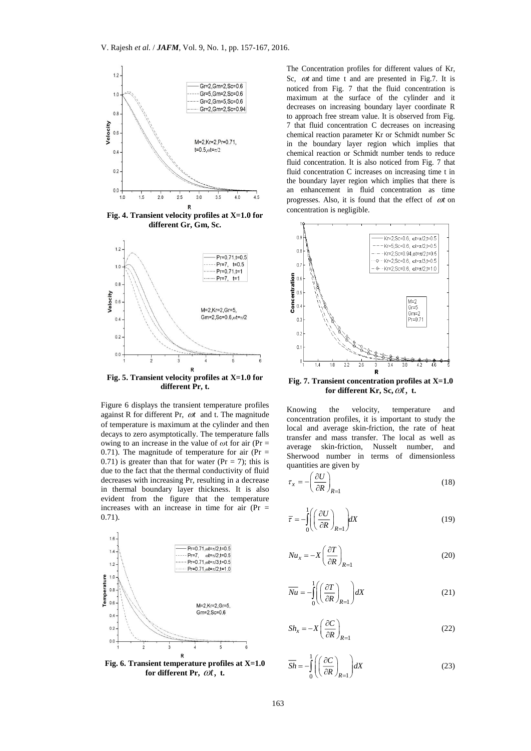

**Fig. 4. Transient velocity profiles at X=1.0 for different Gr, Gm, Sc.**



**different Pr, t.**

Figure 6 displays the transient temperature profiles against R for different Pr,  $\omega t$  and t. The magnitude of temperature is maximum at the cylinder and then decays to zero asymptotically. The temperature falls owing to an increase in the value of *ω*t for air (Pr = 0.71). The magnitude of temperature for air ( $Pr =$ 0.71) is greater than that for water ( $Pr = 7$ ); this is due to the fact that the thermal conductivity of fluid decreases with increasing Pr, resulting in a decrease in thermal boundary layer thickness. It is also evident from the figure that the temperature increases with an increase in time for air  $(Pr =$ 0.71).



**Fig. 6. Transient temperature profiles at X=1.0 for different Pr,**  *t*, **t.**

The Concentration profiles for different values of Kr, Sc, *ot* and time t and are presented in Fig.7. It is noticed from Fig. 7 that the fluid concentration is maximum at the surface of the cylinder and it decreases on increasing boundary layer coordinate R to approach free stream value. It is observed from Fig. 7 that fluid concentration C decreases on increasing chemical reaction parameter Kr or Schmidt number Sc in the boundary layer region which implies that chemical reaction or Schmidt number tends to reduce fluid concentration. It is also noticed from Fig. 7 that fluid concentration C increases on increasing time t in the boundary layer region which implies that there is an enhancement in fluid concentration as time progresses. Also, it is found that the effect of  $\omega t$  on concentration is negligible.



**Fig. 7. Transient concentration profiles at X=1.0 for different Kr, Sc,** *t*, **t.**

Knowing the velocity, temperature and concentration profiles, it is important to study the local and average skin-friction, the rate of heat transfer and mass transfer. The local as well as average skin-friction, Nusselt number, and Sherwood number in terms of dimensionless quantities are given by

$$
\tau_x = -\left(\frac{\partial U}{\partial R}\right)_{R=1} \tag{18}
$$

$$
\overline{\tau} = -\int_{0}^{1} \left( \left( \frac{\partial U}{\partial R} \right)_{R=1} \right) dX \tag{19}
$$

$$
Nu_x = -X \left(\frac{\partial T}{\partial R}\right)_{R=1}
$$
 (20)

$$
\overline{Nu} = -\int_{0}^{1} \left( \left( \frac{\partial T}{\partial R} \right)_{R=1} \right) dX \tag{21}
$$

$$
Sh_x = -X \left(\frac{\partial C}{\partial R}\right)_{R=1} \tag{22}
$$

$$
\overline{Sh} = -\int_{0}^{1} \left( \left( \frac{\partial C}{\partial R} \right)_{R=1} \right) dX \tag{23}
$$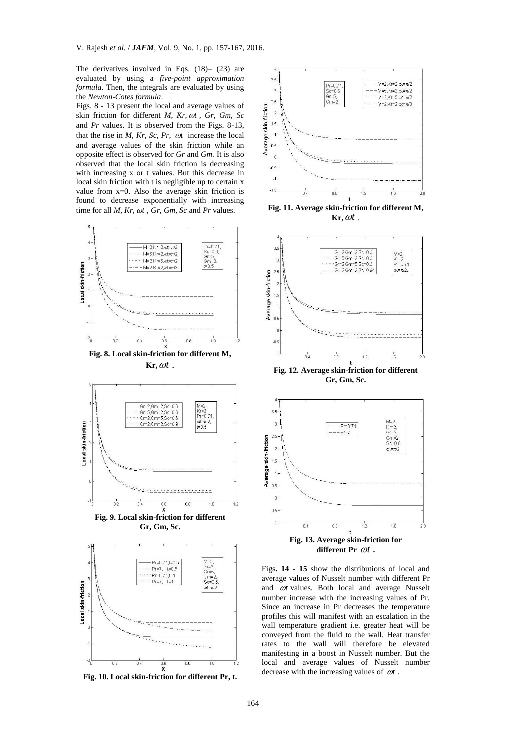The derivatives involved in Eqs. (18)– (23) are evaluated by using a *five-point approximation formula*. Then, the integrals are evaluated by using the *Newton-Cotes formula*.

Figs. 8 - 13 present the local and average values of skin friction for different *M, Kr, ost, Gr, Gm, Sc* and *Pr* values. It is observed from the Figs. 8-13, that the rise in  $M$ ,  $Kr$ ,  $Sc$ ,  $Pr$ ,  $\omega t$  increase the local and average values of the skin friction while an opposite effect is observed for *Gr* and *Gm.* It is also observed that the local skin friction is decreasing with increasing x or t values. But this decrease in local skin friction with t is negligible up to certain x value from x=0. Also the average skin friction is found to decrease exponentially with increasing time for all *M*, *Kr*,  $\omega t$ , *Gr*, *Gm*, *Sc* and *Pr* values.



**Fig. 8. Local skin-friction for different M,**   $\mathbf{Kr}, \omega t$ .



**Fig. 9. Local skin-friction for different Gr, Gm, Sc.**



**Fig. 10. Local skin-friction for different Pr, t.**



**Fig. 11. Average skin-friction for different M,**   $\mathbf{Kr}, \omega t$ .



**Fig. 12. Average skin-friction for different Gr, Gm, Sc.**



different Pr  $\omega t$ .

Figs**. 14 - 15** show the distributions of local and average values of Nusselt number with different Pr and  $\omega t$  values. Both local and average Nusselt number increase with the increasing values of Pr. Since an increase in Pr decreases the temperature profiles this will manifest with an escalation in the wall temperature gradient i.e. greater heat will be conveyed from the fluid to the wall. Heat transfer rates to the wall will therefore be elevated manifesting in a boost in Nusselt number. But the local and average values of Nusselt number decrease with the increasing values of  $\omega t$ .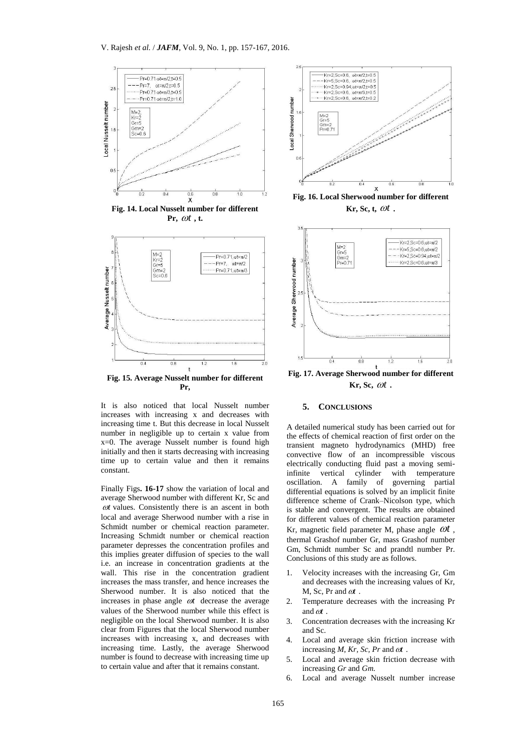





**Fig. 15. Average Nusselt number for different Pr,**

It is also noticed that local Nusselt number increases with increasing x and decreases with increasing time t. But this decrease in local Nusselt number in negligible up to certain x value from x=0. The average Nusselt number is found high initially and then it starts decreasing with increasing time up to certain value and then it remains constant.

Finally Figs**. 16-17** show the variation of local and average Sherwood number with different Kr, Sc and  $\omega t$  values. Consistently there is an ascent in both local and average Sherwood number with a rise in Schmidt number or chemical reaction parameter. Increasing Schmidt number or chemical reaction parameter depresses the concentration profiles and this implies greater diffusion of species to the wall i.e. an increase in concentration gradients at the wall. This rise in the concentration gradient increases the mass transfer, and hence increases the Sherwood number. It is also noticed that the increases in phase angle  $\omega t$  decrease the average values of the Sherwood number while this effect is negligible on the local Sherwood number*.* It is also clear from Figures that the local Sherwood number increases with increasing x, and decreases with increasing time. Lastly, the average Sherwood number is found to decrease with increasing time up to certain value and after that it remains constant.



**Fig. 16. Local Sherwood number for different**  $Kr, Sc, t, \omega t$ .



 $Kr, Sc, \omega t$ .

## **5. CONCLUSIONS**

A detailed numerical study has been carried out for the effects of chemical reaction of first order on the transient magneto hydrodynamics (MHD) free convective flow of an incompressible viscous electrically conducting fluid past a moving semiinfinite vertical cylinder with temperature oscillation. A family of governing partial differential equations is solved by an implicit finite difference scheme of Crank–Nicolson type, which is stable and convergent. The results are obtained for different values of chemical reaction parameter Kr, magnetic field parameter M, phase angle  $\omega t$ , thermal Grashof number Gr, mass Grashof number Gm, Schmidt number Sc and prandtl number Pr. Conclusions of this study are as follows.

- 1. Velocity increases with the increasing Gr, Gm and decreases with the increasing values of Kr, M, Sc, Pr and  $\omega t$ .
- 2. Temperature decreases with the increasing Pr and  $\omega t$ .
- 3. Concentration decreases with the increasing Kr and Sc.
- 4. Local and average skin friction increase with increasing  $M$ ,  $Kr$ ,  $Sc$ ,  $Pr$  and  $\omega t$ .
- 5. Local and average skin friction decrease with increasing *Gr* and *Gm.*
- 6. Local and average Nusselt number increase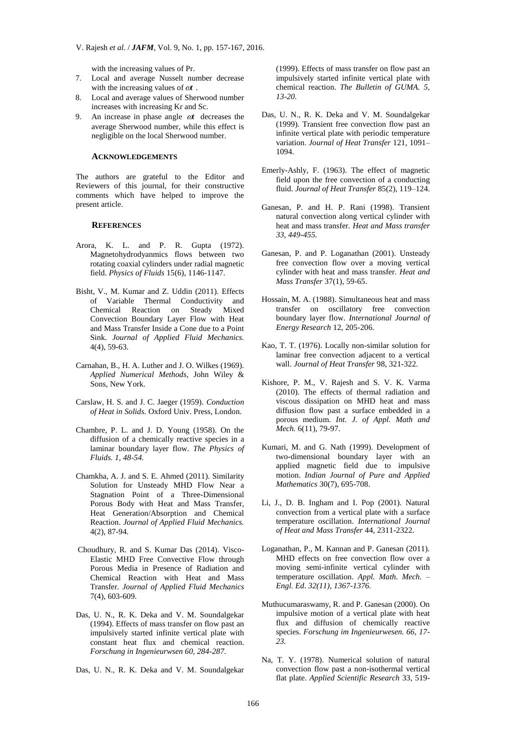with the increasing values of Pr.

- 7. Local and average Nusselt number decrease with the increasing values of  $\omega t$ .
- 8. Local and average values of Sherwood number increases with increasing Kr and Sc.
- 9. An increase in phase angle  $\omega t$  decreases the average Sherwood number, while this effect is negligible on the local Sherwood number*.*

### **ACKNOWLEDGEMENTS**

The authors are grateful to the Editor and Reviewers of this journal, for their constructive comments which have helped to improve the present article.

#### **REFERENCES**

- Arora, K. L. and P. R. Gupta (1972). Magnetohydrodyanmics flows between two rotating coaxial cylinders under radial magnetic field. *Physics of Fluids* 15(6), 1146-1147.
- Bisht, V., M. Kumar and Z. Uddin (2011). Effects of Variable Thermal Conductivity and Chemical Reaction on Steady Mixed Convection Boundary Layer Flow with Heat and Mass Transfer Inside a Cone due to a Point Sink. *Journal of Applied Fluid Mechanics.* 4(4), 59-63.
- Carnahan, B., H. A. Luther and J. O. Wilkes (1969). *Applied Numerical Methods*, John Wiley & Sons, New York.
- Carslaw, H. S. and J. C. Jaeger (1959). *Conduction of Heat in Solids.* Oxford Univ. Press, London.
- Chambre, P. L. and J. D. Young (1958). On the diffusion of a chemically reactive species in a laminar boundary layer flow. *The Physics of Fluids. 1, 48-54.*
- Chamkha, A. J. and S. E. Ahmed (2011). Similarity Solution for Unsteady MHD Flow Near a Stagnation Point of a Three-Dimensional Porous Body with Heat and Mass Transfer, Heat Generation/Absorption and Chemical Reaction. *Journal of Applied Fluid Mechanics.* 4(2), 87-94.
- Choudhury, R. and S. Kumar Das (2014). Visco-Elastic MHD Free Convective Flow through Porous Media in Presence of Radiation and Chemical Reaction with Heat and Mass Transfer. *Journal of Applied Fluid Mechanics* 7(4), 603-609.
- Das, U. N., R. K. Deka and V. M. Soundalgekar (1994). Effects of mass transfer on flow past an impulsively started infinite vertical plate with constant heat flux and chemical reaction. *Forschung in Ingenieurwsen 60, 284-287.*
- Das, U. N., R. K. Deka and V. M. Soundalgekar

(1999). Effects of mass transfer on flow past an impulsively started infinite vertical plate with chemical reaction. *The Bulletin of GUMA. 5, 13-20.* 

- Das, U. N., R. K. Deka and V. M. Soundalgekar (1999). Transient free convection flow past an infinite vertical plate with periodic temperature variation. *Journal of Heat Transfer* 121, 1091– 1094.
- Emerly-Ashly, F. (1963). The effect of magnetic field upon the free convection of a conducting fluid. *Journal of Heat Transfer* 85(2), 119–124.
- Ganesan, P. and H. P. Rani (1998). Transient natural convection along vertical cylinder with heat and mass transfer*. Heat and Mass transfer 33, 449-455.*
- Ganesan, P. and P. Loganathan (2001). Unsteady free convection flow over a moving vertical cylinder with heat and mass transfer. *Heat and Mass Transfer* 37(1), 59-65.
- Hossain, M. A. (1988). Simultaneous heat and mass transfer on oscillatory free convection boundary layer flow. *International Journal of Energy Research* 12, 205-206.
- Kao, T. T. (1976). Locally non-similar solution for laminar free convection adjacent to a vertical wall. *Journal of Heat Transfer* 98, 321-322.
- Kishore, P. M., V. Rajesh and S. V. K. Varma (2010). The effects of thermal radiation and viscous dissipation on MHD heat and mass diffusion flow past a surface embedded in a porous medium. *Int. J. of Appl. Math and Mech.* 6(11), 79-97.
- Kumari, M. and G. Nath (1999). Development of two-dimensional boundary layer with an applied magnetic field due to impulsive motion. *Indian Journal of Pure and Applied Mathematics* 30(7), 695-708.
- Li, J., D. B. Ingham and I. Pop (2001). Natural convection from a vertical plate with a surface temperature oscillation. *International Journal of Heat and Mass Transfer* 44, 2311-2322.
- Loganathan, P., M. Kannan and P. Ganesan (2011). MHD effects on free convection flow over a moving semi-infinite vertical cylinder with temperature oscillation. *Appl. Math. Mech. – Engl. Ed. 32(11), 1367-1376.*
- Muthucumaraswamy, R. and P. Ganesan (2000). On impulsive motion of a vertical plate with heat flux and diffusion of chemically reactive species. *Forschung im Ingenieurwesen. 66, 17- 23.*
- Na, T. Y. (1978). Numerical solution of natural convection flow past a non-isothermal vertical flat plate. *Applied Scientific Research* 33, 519-